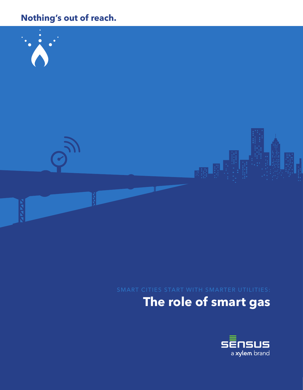# **Nothing's out of reach.**



# **The role of smart gas**

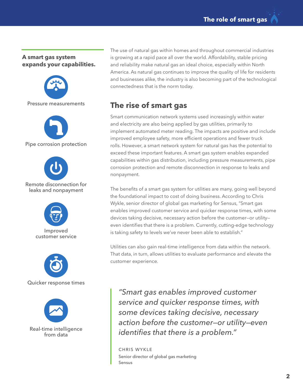#### **A smart gas system expands your capabilities.**



The use of natural gas within homes and throughout commercial industries is growing at a rapid pace all over the world. Affordability, stable pricing and reliability make natural gas an ideal choice, especially within North America. As natural gas continues to improve the quality of life for residents and businesses alike, the industry is also becoming part of the technological connectedness that is the norm today.

# **The rise of smart gas**

Smart communication network systems used increasingly within water and electricity are also being applied by gas utilities, primarily to implement automated meter reading. The impacts are positive and include improved employee safety, more efficient operations and fewer truck rolls. However, a smart network system for natural gas has the potential to exceed these important features. A smart gas system enables expanded capabilities within gas distribution, including pressure measurements, pipe corrosion protection and remote disconnection in response to leaks and nonpayment.

The benefits of a smart gas system for utilities are many, going well beyond the foundational impact to cost of doing business. According to Chris Wykle, senior director of global gas marketing for Sensus, "Smart gas enables improved customer service and quicker response times, with some devices taking decisive, necessary action before the customer—or utility even identifies that there is a problem. Currently, cutting-edge technology is taking safety to levels we've never been able to establish."

Utilities can also gain real-time intelligence from data within the network. That data, in turn, allows utilities to evaluate performance and elevate the customer experience.

*"Smart gas enables improved customer service and quicker response times, with some devices taking decisive, necessary action before the customer—or utility—even identifies that there is a problem."* 

CHRIS WYKLE Senior director of global gas marketing Sensus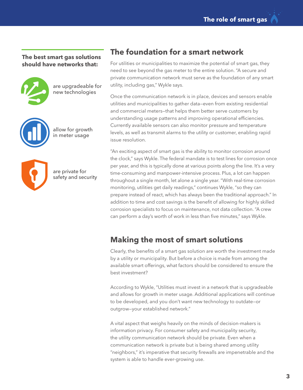**The best smart gas solutions should have networks that:**



are upgradeable for new technologies



allow for growth in meter usage



are private for safety and security

#### **The foundation for a smart network**

For utilities or municipalities to maximize the potential of smart gas, they need to see beyond the gas meter to the entire solution. "A secure and private communication network must serve as the foundation of any smart utility, including gas," Wykle says.

Once the communication network is in place, devices and sensors enable utilities and municipalities to gather data—even from existing residential and commercial meters—that helps them better serve customers by understanding usage patterns and improving operational efficiencies. Currently available sensors can also monitor pressure and temperature levels, as well as transmit alarms to the utility or customer, enabling rapid issue resolution.

"An exciting aspect of smart gas is the ability to monitor corrosion around the clock," says Wykle. The federal mandate is to test lines for corrosion once per year, and this is typically done at various points along the line. It's a very time-consuming and manpower-intensive process. Plus, a lot can happen throughout a single month, let alone a single year. "With real-time corrosion monitoring, utilities get daily readings," continues Wykle, "so they can prepare instead of react, which has always been the traditional approach." In addition to time and cost savings is the benefit of allowing for highly skilled corrosion specialists to focus on maintenance, not data collection. "A crew can perform a day's worth of work in less than five minutes," says Wykle.

## **Making the most of smart solutions**

Clearly, the benefits of a smart gas solution are worth the investment made by a utility or municipality. But before a choice is made from among the available smart offerings, what factors should be considered to ensure the best investment?

According to Wykle, "Utilities must invest in a network that is upgradeable and allows for growth in meter usage. Additional applications will continue to be developed, and you don't want new technology to outdate—or outgrow—your established network."

A vital aspect that weighs heavily on the minds of decision-makers is information privacy. For consumer safety and municipality security, the utility communication network should be private. Even when a communication network is private but is being shared among utility "neighbors," it's imperative that security firewalls are impenetrable and the system is able to handle ever-growing use.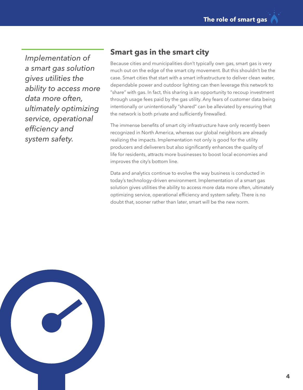*Implementation of a smart gas solution gives utilities the ability to access more data more often, ultimately optimizing service, operational efficiency and system safety.*

## **Smart gas in the smart city**

Because cities and municipalities don't typically own gas, smart gas is very much out on the edge of the smart city movement. But this shouldn't be the case. Smart cities that start with a smart infrastructure to deliver clean water, dependable power and outdoor lighting can then leverage this network to "share" with gas. In fact, this sharing is an opportunity to recoup investment through usage fees paid by the gas utility. Any fears of customer data being intentionally or unintentionally "shared" can be alleviated by ensuring that the network is both private and sufficiently firewalled.

The immense benefits of smart city infrastructure have only recently been recognized in North America, whereas our global neighbors are already realizing the impacts. Implementation not only is good for the utility producers and deliverers but also significantly enhances the quality of life for residents, attracts more businesses to boost local economies and improves the city's bottom line.

Data and analytics continue to evolve the way business is conducted in today's technology-driven environment. Implementation of a smart gas solution gives utilities the ability to access more data more often, ultimately optimizing service, operational efficiency and system safety. There is no doubt that, sooner rather than later, smart will be the new norm.